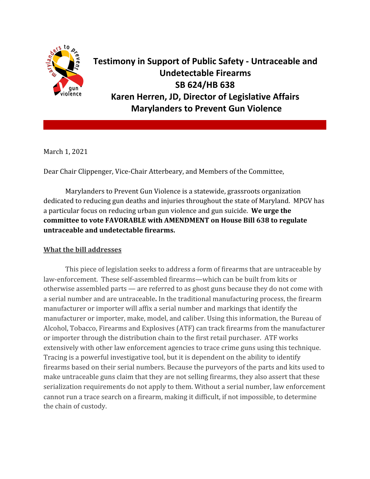

**Testimony in Support of Public Safety - Untraceable and Undetectable Firearms SB 624/HB 638 Karen Herren, JD, Director of Legislative Affairs Marylanders to Prevent Gun Violence**

March 1, 2021

Dear Chair Clippenger, Vice-Chair Atterbeary, and Members of the Committee,

Marylanders to Prevent Gun Violence is a statewide, grassroots organization dedicated to reducing gun deaths and injuries throughout the state of Maryland. MPGV has a particular focus on reducing urban gun violence and gun suicide. **We urge the committee to vote FAVORABLE with AMENDMENT on House Bill 638 to regulate untraceable and undetectable firearms.**

## **What the bill addresses**

This piece of legislation seeks to address a form of firearms that are untraceable by law-enforcement. These self-assembled firearms—which can be built from kits or otherwise assembled parts — are referred to as ghost guns because they do not come with a serial number and are untraceable**.** In the traditional manufacturing process, the firearm manufacturer or importer will affix a serial number and markings that identify the manufacturer or importer, make, model, and caliber. Using this information, the Bureau of Alcohol, Tobacco, Firearms and Explosives (ATF) can track firearms from the manufacturer or importer through the distribution chain to the first retail purchaser. ATF works extensively with other law enforcement agencies to trace crime guns using this technique. Tracing is a powerful investigative tool, but it is dependent on the ability to identify firearms based on their serial numbers. Because the purveyors of the parts and kits used to make untraceable guns claim that they are not selling firearms, they also assert that these serialization requirements do not apply to them. Without a serial number, law enforcement cannot run a trace search on a firearm, making it difficult, if not impossible, to determine the chain of custody.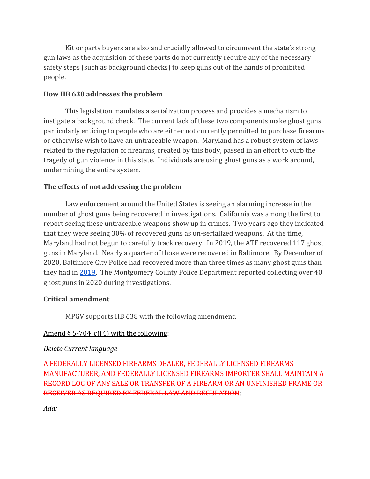Kit or parts buyers are also and crucially allowed to circumvent the state's strong gun laws as the acquisition of these parts do not currently require any of the necessary safety steps (such as background checks) to keep guns out of the hands of prohibited people.

## **How HB 638 addresses the problem**

This legislation mandates a serialization process and provides a mechanism to instigate a background check. The current lack of these two components make ghost guns particularly enticing to people who are either not currently permitted to purchase firearms or otherwise wish to have an untraceable weapon. Maryland has a robust system of laws related to the regulation of firearms, created by this body, passed in an effort to curb the tragedy of gun violence in this state. Individuals are using ghost guns as a work around, undermining the entire system.

# **The effects of not addressing the problem**

Law enforcement around the United States is seeing an alarming increase in the number of ghost guns being recovered in investigations. California was among the first to report seeing these untraceable weapons show up in crimes. Two years ago they indicated that they were seeing 30% of recovered guns as un-serialized weapons. At the time, Maryland had not begun to carefully track recovery. In 2019, the ATF recovered 117 ghost guns in Maryland. Nearly a quarter of those were recovered in Baltimore. By December of 2020, Baltimore City Police had recovered more than three times as many ghost guns than they had in [2019](https://foxbaltimore.com/features/operation-crime-justice/number-of-ghost-guns-recovered-in-baltimore-more-than-triples). The Montgomery County Police Department reported collecting over 40 ghost guns in 2020 during investigations.

# **Critical amendment**

MPGV supports HB 638 with the following amendment:

# Amend  $\S 5-704(c)(4)$  with the following:

## *Delete Current language*

A FEDERALLY LICENSED FIREARMS DEALER, FEDERALLY LICENSED FIREARMS MANUFACTURER, AND FEDERALLY LICENSED FIREARMS IMPORTER SHALL MAINTAIN A RECORD LOG OF ANY SALE OR TRANSFER OF A FIREARM OR AN UNFINISHED FRAME OR RECEIVER AS REQUIRED BY FEDERAL LAW AND REGULATION;

*Add:*